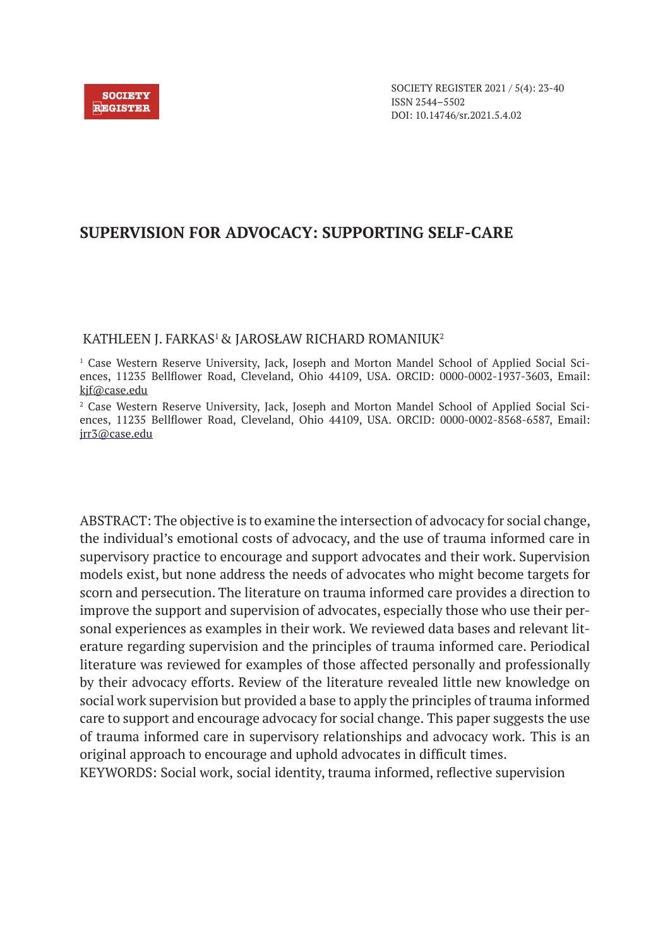

# **SUPERVISION FOR ADVOCACY: SUPPORTING SELF-CARE**

### KATHLEEN J. FARKAS<sup>1</sup> & JAROSŁAW RICHARD ROMANIUK<sup>2</sup>

1 Case Western Reserve University, Jack, Joseph and Morton Mandel School of Applied Social Sciences, 11235 Bellflower Road, Cleveland, Ohio 44109, USA. ORCID: 0000-0002-1937-3603, Email: kjf@case.edu

2 Case Western Reserve University, Jack, Joseph and Morton Mandel School of Applied Social Sciences, 11235 Bellflower Road, Cleveland, Ohio 44109, USA. ORCID: 0000-0002-8568-6587, Email: jrr3@case.edu

ABSTRACT: The objective is to examine the intersection of advocacy for social change, the individual's emotional costs of advocacy, and the use of trauma informed care in supervisory practice to encourage and support advocates and their work. Supervision models exist, but none address the needs of advocates who might become targets for scorn and persecution. The literature on trauma informed care provides a direction to improve the support and supervision of advocates, especially those who use their personal experiences as examples in their work. We reviewed data bases and relevant literature regarding supervision and the principles of trauma informed care. Periodical literature was reviewed for examples of those affected personally and professionally by their advocacy efforts. Review of the literature revealed little new knowledge on social work supervision but provided a base to apply the principles of trauma informed care to support and encourage advocacy for social change. This paper suggests the use of trauma informed care in supervisory relationships and advocacy work. This is an original approach to encourage and uphold advocates in difficult times.

KEYWORDS: Social work, social identity, trauma informed, reflective supervision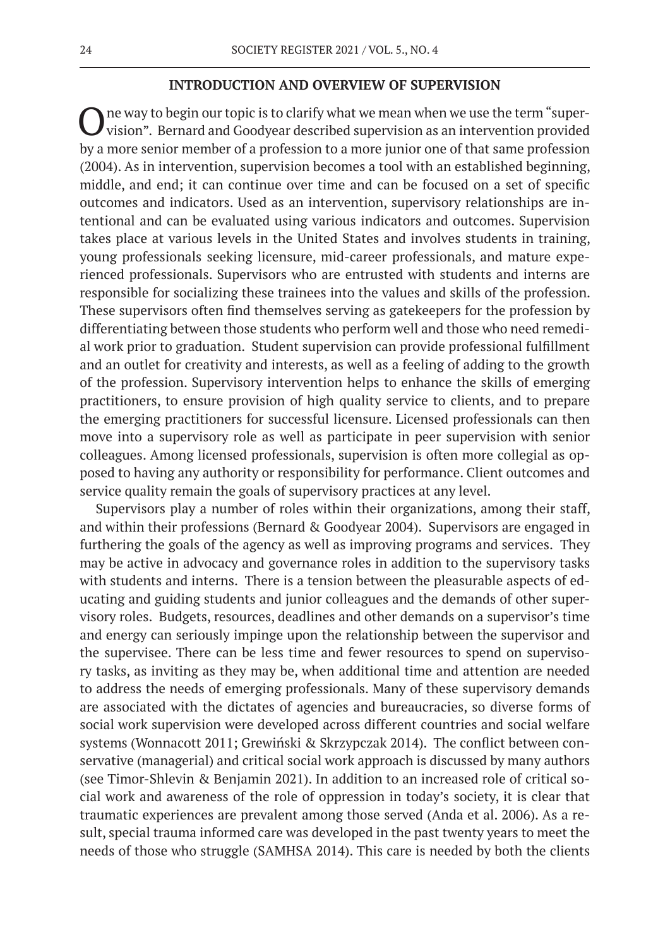### **INTRODUCTION AND OVERVIEW OF SUPERVISION**

The way to begin our topic is to clarify what we mean when we use the term "supervision". Bernard and Goodyear described supervision as an intervention provided by a more senior member of a profession to a more junior one of that same profession (2004). As in intervention, supervision becomes a tool with an established beginning, middle, and end; it can continue over time and can be focused on a set of specific outcomes and indicators. Used as an intervention, supervisory relationships are intentional and can be evaluated using various indicators and outcomes. Supervision takes place at various levels in the United States and involves students in training, young professionals seeking licensure, mid-career professionals, and mature experienced professionals. Supervisors who are entrusted with students and interns are responsible for socializing these trainees into the values and skills of the profession. These supervisors often find themselves serving as gatekeepers for the profession by differentiating between those students who perform well and those who need remedial work prior to graduation. Student supervision can provide professional fulfillment and an outlet for creativity and interests, as well as a feeling of adding to the growth of the profession. Supervisory intervention helps to enhance the skills of emerging practitioners, to ensure provision of high quality service to clients, and to prepare the emerging practitioners for successful licensure. Licensed professionals can then move into a supervisory role as well as participate in peer supervision with senior colleagues. Among licensed professionals, supervision is often more collegial as opposed to having any authority or responsibility for performance. Client outcomes and service quality remain the goals of supervisory practices at any level.

Supervisors play a number of roles within their organizations, among their staff, and within their professions (Bernard & Goodyear 2004). Supervisors are engaged in furthering the goals of the agency as well as improving programs and services. They may be active in advocacy and governance roles in addition to the supervisory tasks with students and interns. There is a tension between the pleasurable aspects of educating and guiding students and junior colleagues and the demands of other supervisory roles. Budgets, resources, deadlines and other demands on a supervisor's time and energy can seriously impinge upon the relationship between the supervisor and the supervisee. There can be less time and fewer resources to spend on supervisory tasks, as inviting as they may be, when additional time and attention are needed to address the needs of emerging professionals. Many of these supervisory demands are associated with the dictates of agencies and bureaucracies, so diverse forms of social work supervision were developed across different countries and social welfare systems (Wonnacott 2011; Grewiński & Skrzypczak 2014). The conflict between conservative (managerial) and critical social work approach is discussed by many authors (see Timor-Shlevin & Benjamin 2021). In addition to an increased role of critical social work and awareness of the role of oppression in today's society, it is clear that traumatic experiences are prevalent among those served (Anda et al. 2006). As a result, special trauma informed care was developed in the past twenty years to meet the needs of those who struggle (SAMHSA 2014). This care is needed by both the clients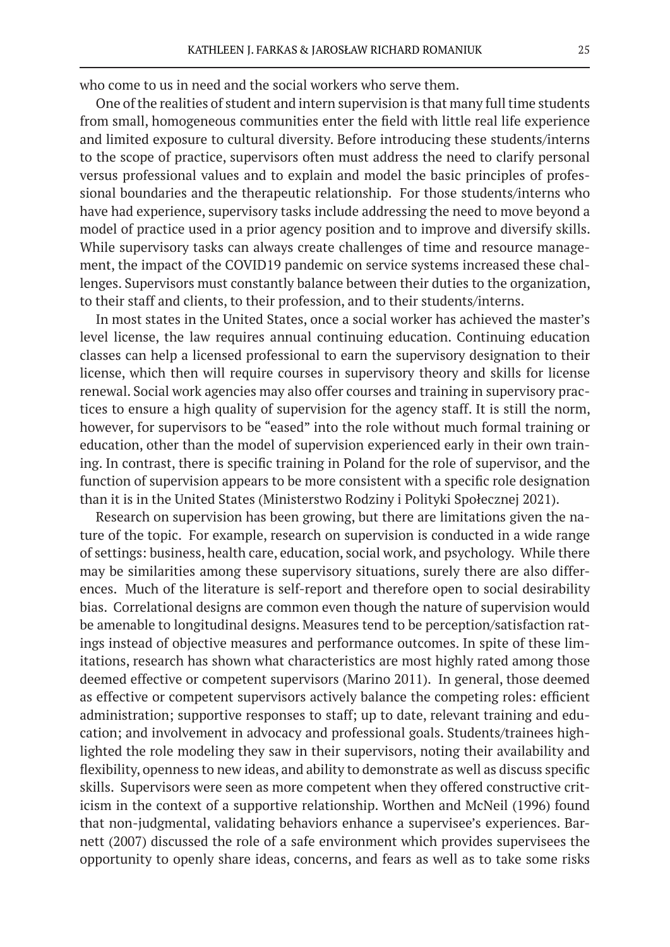who come to us in need and the social workers who serve them.

One of the realities of student and intern supervision is that many full time students from small, homogeneous communities enter the field with little real life experience and limited exposure to cultural diversity. Before introducing these students/interns to the scope of practice, supervisors often must address the need to clarify personal versus professional values and to explain and model the basic principles of professional boundaries and the therapeutic relationship. For those students/interns who have had experience, supervisory tasks include addressing the need to move beyond a model of practice used in a prior agency position and to improve and diversify skills. While supervisory tasks can always create challenges of time and resource management, the impact of the COVID19 pandemic on service systems increased these challenges. Supervisors must constantly balance between their duties to the organization, to their staff and clients, to their profession, and to their students/interns.

In most states in the United States, once a social worker has achieved the master's level license, the law requires annual continuing education. Continuing education classes can help a licensed professional to earn the supervisory designation to their license, which then will require courses in supervisory theory and skills for license renewal. Social work agencies may also offer courses and training in supervisory practices to ensure a high quality of supervision for the agency staff. It is still the norm, however, for supervisors to be "eased" into the role without much formal training or education, other than the model of supervision experienced early in their own training. In contrast, there is specific training in Poland for the role of supervisor, and the function of supervision appears to be more consistent with a specific role designation than it is in the United States (Ministerstwo Rodziny i Polityki Społecznej 2021).

Research on supervision has been growing, but there are limitations given the nature of the topic. For example, research on supervision is conducted in a wide range of settings: business, health care, education, social work, and psychology. While there may be similarities among these supervisory situations, surely there are also differences. Much of the literature is self-report and therefore open to social desirability bias. Correlational designs are common even though the nature of supervision would be amenable to longitudinal designs. Measures tend to be perception/satisfaction ratings instead of objective measures and performance outcomes. In spite of these limitations, research has shown what characteristics are most highly rated among those deemed effective or competent supervisors (Marino 2011). In general, those deemed as effective or competent supervisors actively balance the competing roles: efficient administration; supportive responses to staff; up to date, relevant training and education; and involvement in advocacy and professional goals. Students/trainees highlighted the role modeling they saw in their supervisors, noting their availability and flexibility, openness to new ideas, and ability to demonstrate as well as discuss specific skills. Supervisors were seen as more competent when they offered constructive criticism in the context of a supportive relationship. Worthen and McNeil (1996) found that non-judgmental, validating behaviors enhance a supervisee's experiences. Barnett (2007) discussed the role of a safe environment which provides supervisees the opportunity to openly share ideas, concerns, and fears as well as to take some risks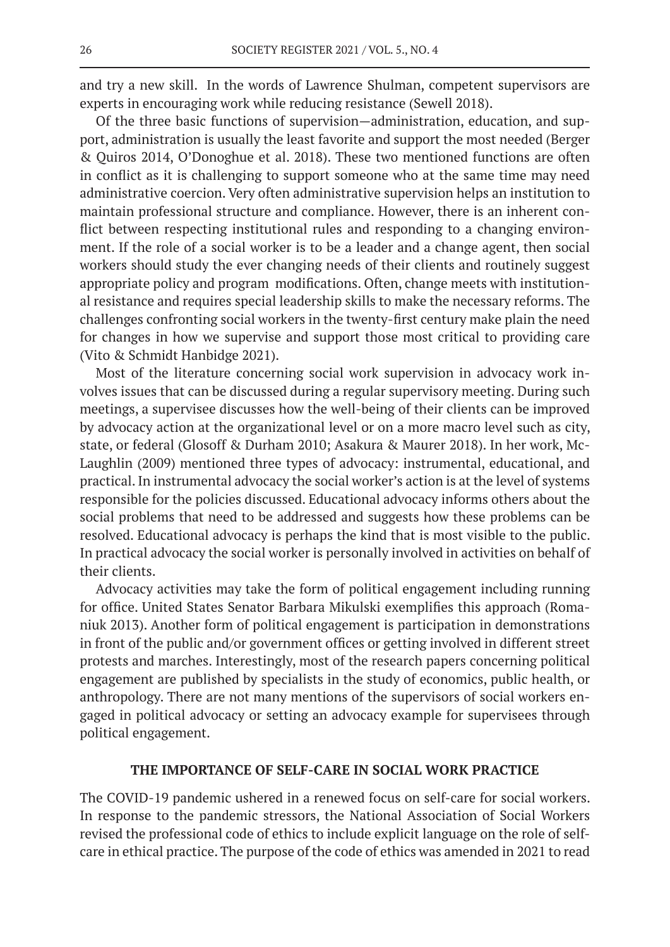and try a new skill. In the words of Lawrence Shulman, competent supervisors are experts in encouraging work while reducing resistance (Sewell 2018).

Of the three basic functions of supervision—administration, education, and support, administration is usually the least favorite and support the most needed (Berger & Quiros 2014, O'Donoghue et al. 2018). These two mentioned functions are often in conflict as it is challenging to support someone who at the same time may need administrative coercion. Very often administrative supervision helps an institution to maintain professional structure and compliance. However, there is an inherent conflict between respecting institutional rules and responding to a changing environment. If the role of a social worker is to be a leader and a change agent, then social workers should study the ever changing needs of their clients and routinely suggest appropriate policy and program modifications. Often, change meets with institutional resistance and requires special leadership skills to make the necessary reforms. The challenges confronting social workers in the twenty-first century make plain the need for changes in how we supervise and support those most critical to providing care (Vito & Schmidt Hanbidge 2021).

Most of the literature concerning social work supervision in advocacy work involves issues that can be discussed during a regular supervisory meeting. During such meetings, a supervisee discusses how the well-being of their clients can be improved by advocacy action at the organizational level or on a more macro level such as city, state, or federal (Glosoff & Durham 2010; Asakura & Maurer 2018). In her work, Mc-Laughlin (2009) mentioned three types of advocacy: instrumental, educational, and practical. In instrumental advocacy the social worker's action is at the level of systems responsible for the policies discussed. Educational advocacy informs others about the social problems that need to be addressed and suggests how these problems can be resolved. Educational advocacy is perhaps the kind that is most visible to the public. In practical advocacy the social worker is personally involved in activities on behalf of their clients.

Advocacy activities may take the form of political engagement including running for office. United States Senator Barbara Mikulski exemplifies this approach (Romaniuk 2013). Another form of political engagement is participation in demonstrations in front of the public and/or government offices or getting involved in different street protests and marches. Interestingly, most of the research papers concerning political engagement are published by specialists in the study of economics, public health, or anthropology. There are not many mentions of the supervisors of social workers engaged in political advocacy or setting an advocacy example for supervisees through political engagement.

### **THE IMPORTANCE OF SELF-CARE IN SOCIAL WORK PRACTICE**

The COVID-19 pandemic ushered in a renewed focus on self-care for social workers. In response to the pandemic stressors, the National Association of Social Workers revised the professional code of ethics to include explicit language on the role of selfcare in ethical practice. The purpose of the code of ethics was amended in 2021 to read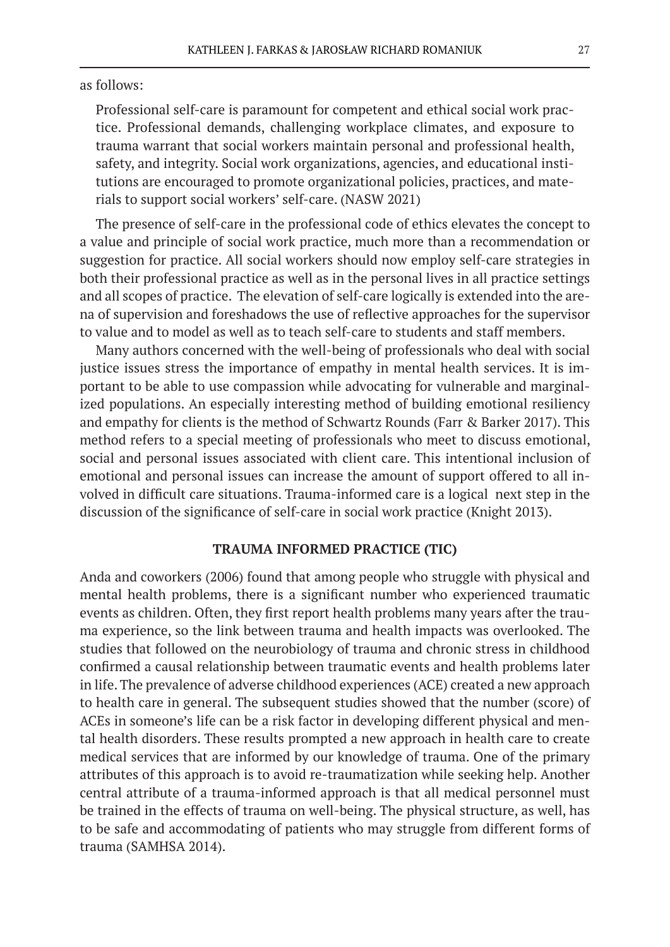as follows:

Professional self-care is paramount for competent and ethical social work practice. Professional demands, challenging workplace climates, and exposure to trauma warrant that social workers maintain personal and professional health, safety, and integrity. Social work organizations, agencies, and educational institutions are encouraged to promote organizational policies, practices, and materials to support social workers' self-care. (NASW 2021)

The presence of self-care in the professional code of ethics elevates the concept to a value and principle of social work practice, much more than a recommendation or suggestion for practice. All social workers should now employ self-care strategies in both their professional practice as well as in the personal lives in all practice settings and all scopes of practice. The elevation of self-care logically is extended into the arena of supervision and foreshadows the use of reflective approaches for the supervisor to value and to model as well as to teach self-care to students and staff members.

Many authors concerned with the well-being of professionals who deal with social justice issues stress the importance of empathy in mental health services. It is important to be able to use compassion while advocating for vulnerable and marginalized populations. An especially interesting method of building emotional resiliency and empathy for clients is the method of Schwartz Rounds (Farr & Barker 2017). This method refers to a special meeting of professionals who meet to discuss emotional, social and personal issues associated with client care. This intentional inclusion of emotional and personal issues can increase the amount of support offered to all involved in difficult care situations. Trauma-informed care is a logical next step in the discussion of the significance of self-care in social work practice (Knight 2013).

### **TRAUMA INFORMED PRACTICE (TIC)**

Anda and coworkers (2006) found that among people who struggle with physical and mental health problems, there is a significant number who experienced traumatic events as children. Often, they first report health problems many years after the trauma experience, so the link between trauma and health impacts was overlooked. The studies that followed on the neurobiology of trauma and chronic stress in childhood confirmed a causal relationship between traumatic events and health problems later in life. The prevalence of adverse childhood experiences (ACE) created a new approach to health care in general. The subsequent studies showed that the number (score) of ACEs in someone's life can be a risk factor in developing different physical and mental health disorders. These results prompted a new approach in health care to create medical services that are informed by our knowledge of trauma. One of the primary attributes of this approach is to avoid re-traumatization while seeking help. Another central attribute of a trauma-informed approach is that all medical personnel must be trained in the effects of trauma on well-being. The physical structure, as well, has to be safe and accommodating of patients who may struggle from different forms of trauma (SAMHSA 2014).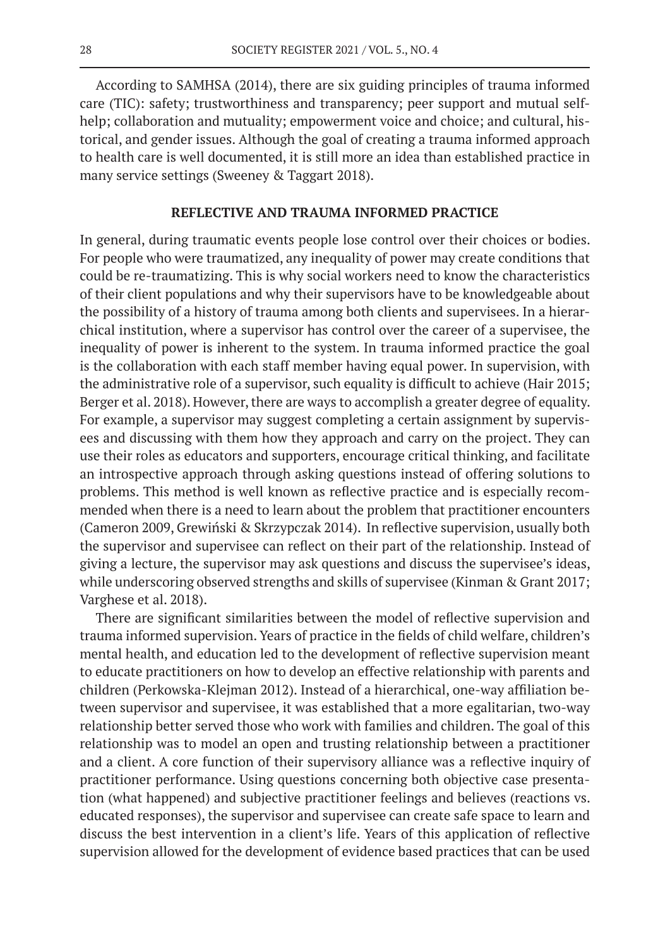According to SAMHSA (2014), there are six guiding principles of trauma informed care (TIC): safety; trustworthiness and transparency; peer support and mutual selfhelp; collaboration and mutuality; empowerment voice and choice; and cultural, historical, and gender issues. Although the goal of creating a trauma informed approach to health care is well documented, it is still more an idea than established practice in many service settings (Sweeney & Taggart 2018).

### **REFLECTIVE AND TRAUMA INFORMED PRACTICE**

In general, during traumatic events people lose control over their choices or bodies. For people who were traumatized, any inequality of power may create conditions that could be re-traumatizing. This is why social workers need to know the characteristics of their client populations and why their supervisors have to be knowledgeable about the possibility of a history of trauma among both clients and supervisees. In a hierarchical institution, where a supervisor has control over the career of a supervisee, the inequality of power is inherent to the system. In trauma informed practice the goal is the collaboration with each staff member having equal power. In supervision, with the administrative role of a supervisor, such equality is difficult to achieve (Hair 2015; Berger et al. 2018). However, there are ways to accomplish a greater degree of equality. For example, a supervisor may suggest completing a certain assignment by supervisees and discussing with them how they approach and carry on the project. They can use their roles as educators and supporters, encourage critical thinking, and facilitate an introspective approach through asking questions instead of offering solutions to problems. This method is well known as reflective practice and is especially recommended when there is a need to learn about the problem that practitioner encounters (Cameron 2009, Grewiński & Skrzypczak 2014). In reflective supervision, usually both the supervisor and supervisee can reflect on their part of the relationship. Instead of giving a lecture, the supervisor may ask questions and discuss the supervisee's ideas, while underscoring observed strengths and skills of supervisee (Kinman & Grant 2017; Varghese et al. 2018).

There are significant similarities between the model of reflective supervision and trauma informed supervision. Years of practice in the fields of child welfare, children's mental health, and education led to the development of reflective supervision meant to educate practitioners on how to develop an effective relationship with parents and children (Perkowska-Klejman 2012). Instead of a hierarchical, one-way affiliation between supervisor and supervisee, it was established that a more egalitarian, two-way relationship better served those who work with families and children. The goal of this relationship was to model an open and trusting relationship between a practitioner and a client. A core function of their supervisory alliance was a reflective inquiry of practitioner performance. Using questions concerning both objective case presentation (what happened) and subjective practitioner feelings and believes (reactions vs. educated responses), the supervisor and supervisee can create safe space to learn and discuss the best intervention in a client's life. Years of this application of reflective supervision allowed for the development of evidence based practices that can be used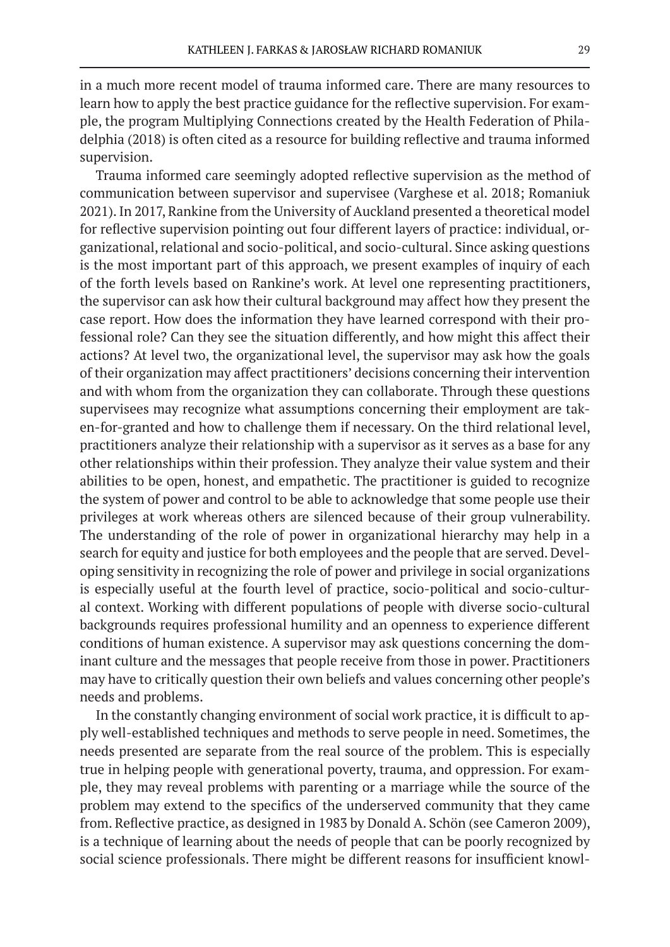in a much more recent model of trauma informed care. There are many resources to learn how to apply the best practice guidance for the reflective supervision. For example, the program Multiplying Connections created by the Health Federation of Philadelphia (2018) is often cited as a resource for building reflective and trauma informed supervision.

Trauma informed care seemingly adopted reflective supervision as the method of communication between supervisor and supervisee (Varghese et al. 2018; Romaniuk 2021). In 2017, Rankine from the University of Auckland presented a theoretical model for reflective supervision pointing out four different layers of practice: individual, organizational, relational and socio-political, and socio-cultural. Since asking questions is the most important part of this approach, we present examples of inquiry of each of the forth levels based on Rankine's work. At level one representing practitioners, the supervisor can ask how their cultural background may affect how they present the case report. How does the information they have learned correspond with their professional role? Can they see the situation differently, and how might this affect their actions? At level two, the organizational level, the supervisor may ask how the goals of their organization may affect practitioners' decisions concerning their intervention and with whom from the organization they can collaborate. Through these questions supervisees may recognize what assumptions concerning their employment are taken-for-granted and how to challenge them if necessary. On the third relational level, practitioners analyze their relationship with a supervisor as it serves as a base for any other relationships within their profession. They analyze their value system and their abilities to be open, honest, and empathetic. The practitioner is guided to recognize the system of power and control to be able to acknowledge that some people use their privileges at work whereas others are silenced because of their group vulnerability. The understanding of the role of power in organizational hierarchy may help in a search for equity and justice for both employees and the people that are served. Developing sensitivity in recognizing the role of power and privilege in social organizations is especially useful at the fourth level of practice, socio-political and socio-cultural context. Working with different populations of people with diverse socio-cultural backgrounds requires professional humility and an openness to experience different conditions of human existence. A supervisor may ask questions concerning the dominant culture and the messages that people receive from those in power. Practitioners may have to critically question their own beliefs and values concerning other people's needs and problems.

In the constantly changing environment of social work practice, it is difficult to apply well-established techniques and methods to serve people in need. Sometimes, the needs presented are separate from the real source of the problem. This is especially true in helping people with generational poverty, trauma, and oppression. For example, they may reveal problems with parenting or a marriage while the source of the problem may extend to the specifics of the underserved community that they came from. Reflective practice, as designed in 1983 by Donald A. Schön (see Cameron 2009), is a technique of learning about the needs of people that can be poorly recognized by social science professionals. There might be different reasons for insufficient knowl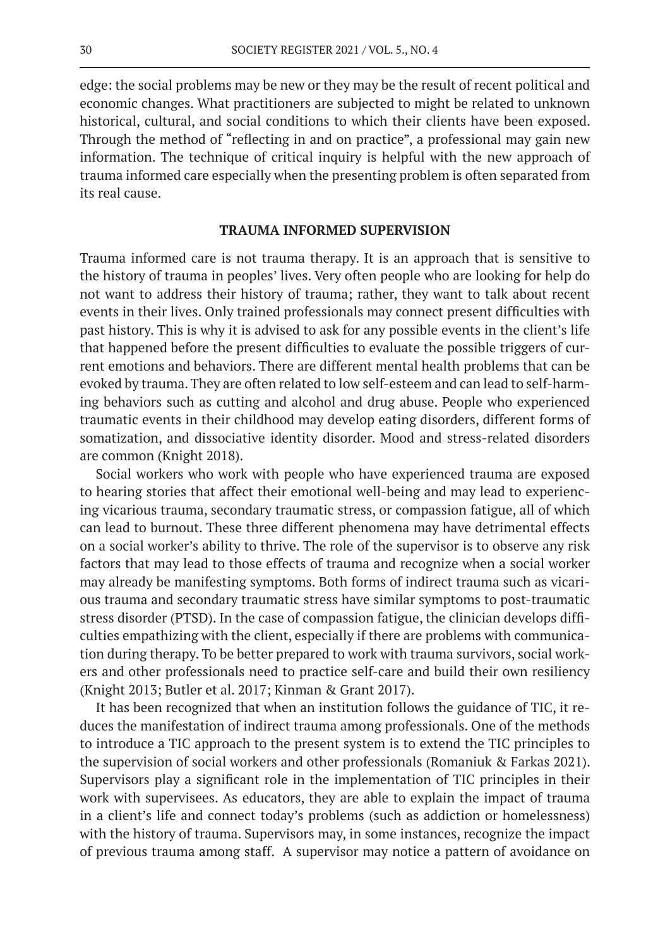edge: the social problems may be new or they may be the result of recent political and economic changes. What practitioners are subjected to might be related to unknown historical, cultural, and social conditions to which their clients have been exposed. Through the method of "reflecting in and on practice", a professional may gain new information. The technique of critical inquiry is helpful with the new approach of trauma informed care especially when the presenting problem is often separated from its real cause.

### **TRAUMA INFORMED SUPERVISION**

Trauma informed care is not trauma therapy. It is an approach that is sensitive to the history of trauma in peoples' lives. Very often people who are looking for help do not want to address their history of trauma; rather, they want to talk about recent events in their lives. Only trained professionals may connect present difficulties with past history. This is why it is advised to ask for any possible events in the client's life that happened before the present difficulties to evaluate the possible triggers of current emotions and behaviors. There are different mental health problems that can be evoked by trauma. They are often related to low self-esteem and can lead to self-harming behaviors such as cutting and alcohol and drug abuse. People who experienced traumatic events in their childhood may develop eating disorders, different forms of somatization, and dissociative identity disorder. Mood and stress-related disorders are common (Knight 2018).

Social workers who work with people who have experienced trauma are exposed to hearing stories that affect their emotional well-being and may lead to experiencing vicarious trauma, secondary traumatic stress, or compassion fatigue, all of which can lead to burnout. These three different phenomena may have detrimental effects on a social worker's ability to thrive. The role of the supervisor is to observe any risk factors that may lead to those effects of trauma and recognize when a social worker may already be manifesting symptoms. Both forms of indirect trauma such as vicarious trauma and secondary traumatic stress have similar symptoms to post-traumatic stress disorder (PTSD). In the case of compassion fatigue, the clinician develops difficulties empathizing with the client, especially if there are problems with communication during therapy. To be better prepared to work with trauma survivors, social workers and other professionals need to practice self-care and build their own resiliency (Knight 2013; Butler et al. 2017; Kinman & Grant 2017).

It has been recognized that when an institution follows the guidance of TIC, it reduces the manifestation of indirect trauma among professionals. One of the methods to introduce a TIC approach to the present system is to extend the TIC principles to the supervision of social workers and other professionals (Romaniuk & Farkas 2021). Supervisors play a significant role in the implementation of TIC principles in their work with supervisees. As educators, they are able to explain the impact of trauma in a client's life and connect today's problems (such as addiction or homelessness) with the history of trauma. Supervisors may, in some instances, recognize the impact of previous trauma among staff. A supervisor may notice a pattern of avoidance on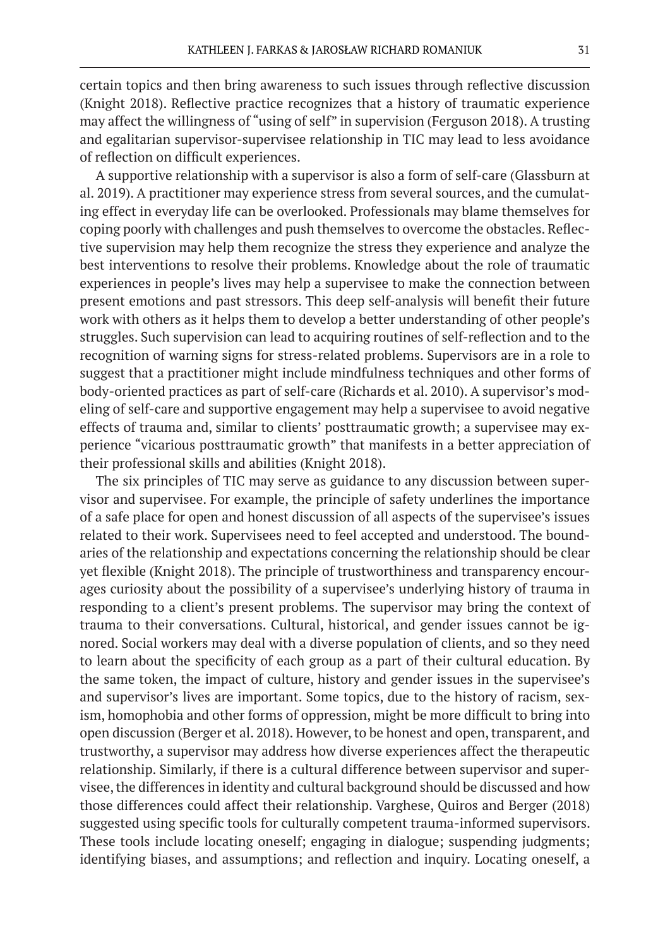certain topics and then bring awareness to such issues through reflective discussion (Knight 2018). Reflective practice recognizes that a history of traumatic experience may affect the willingness of "using of self" in supervision (Ferguson 2018). A trusting and egalitarian supervisor-supervisee relationship in TIC may lead to less avoidance of reflection on difficult experiences.

A supportive relationship with a supervisor is also a form of self-care (Glassburn at al. 2019). A practitioner may experience stress from several sources, and the cumulating effect in everyday life can be overlooked. Professionals may blame themselves for coping poorly with challenges and push themselves to overcome the obstacles. Reflective supervision may help them recognize the stress they experience and analyze the best interventions to resolve their problems. Knowledge about the role of traumatic experiences in people's lives may help a supervisee to make the connection between present emotions and past stressors. This deep self-analysis will benefit their future work with others as it helps them to develop a better understanding of other people's struggles. Such supervision can lead to acquiring routines of self-reflection and to the recognition of warning signs for stress-related problems. Supervisors are in a role to suggest that a practitioner might include mindfulness techniques and other forms of body-oriented practices as part of self-care (Richards et al. 2010). A supervisor's modeling of self-care and supportive engagement may help a supervisee to avoid negative effects of trauma and, similar to clients' posttraumatic growth; a supervisee may experience "vicarious posttraumatic growth" that manifests in a better appreciation of their professional skills and abilities (Knight 2018).

The six principles of TIC may serve as guidance to any discussion between supervisor and supervisee. For example, the principle of safety underlines the importance of a safe place for open and honest discussion of all aspects of the supervisee's issues related to their work. Supervisees need to feel accepted and understood. The boundaries of the relationship and expectations concerning the relationship should be clear yet flexible (Knight 2018). The principle of trustworthiness and transparency encourages curiosity about the possibility of a supervisee's underlying history of trauma in responding to a client's present problems. The supervisor may bring the context of trauma to their conversations. Cultural, historical, and gender issues cannot be ignored. Social workers may deal with a diverse population of clients, and so they need to learn about the specificity of each group as a part of their cultural education. By the same token, the impact of culture, history and gender issues in the supervisee's and supervisor's lives are important. Some topics, due to the history of racism, sexism, homophobia and other forms of oppression, might be more difficult to bring into open discussion (Berger et al. 2018). However, to be honest and open, transparent, and trustworthy, a supervisor may address how diverse experiences affect the therapeutic relationship. Similarly, if there is a cultural difference between supervisor and supervisee, the differences in identity and cultural background should be discussed and how those differences could affect their relationship. Varghese, Quiros and Berger (2018) suggested using specific tools for culturally competent trauma-informed supervisors. These tools include locating oneself; engaging in dialogue; suspending judgments; identifying biases, and assumptions; and reflection and inquiry. Locating oneself, a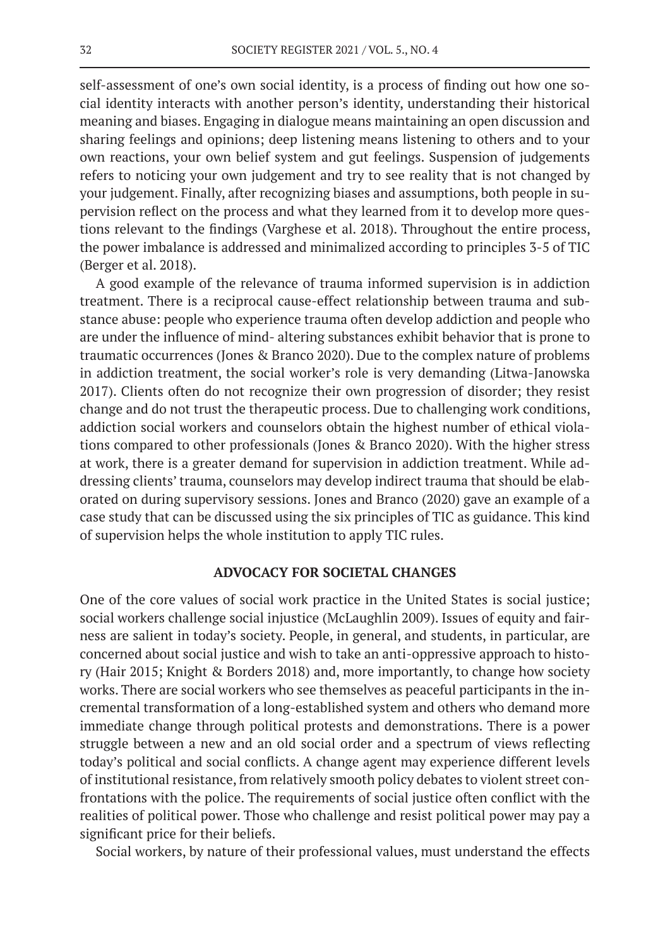self-assessment of one's own social identity, is a process of finding out how one social identity interacts with another person's identity, understanding their historical meaning and biases. Engaging in dialogue means maintaining an open discussion and sharing feelings and opinions; deep listening means listening to others and to your own reactions, your own belief system and gut feelings. Suspension of judgements refers to noticing your own judgement and try to see reality that is not changed by your judgement. Finally, after recognizing biases and assumptions, both people in supervision reflect on the process and what they learned from it to develop more questions relevant to the findings (Varghese et al. 2018). Throughout the entire process, the power imbalance is addressed and minimalized according to principles 3-5 of TIC (Berger et al. 2018).

A good example of the relevance of trauma informed supervision is in addiction treatment. There is a reciprocal cause-effect relationship between trauma and substance abuse: people who experience trauma often develop addiction and people who are under the influence of mind- altering substances exhibit behavior that is prone to traumatic occurrences (Jones & Branco 2020). Due to the complex nature of problems in addiction treatment, the social worker's role is very demanding (Litwa-Janowska 2017). Clients often do not recognize their own progression of disorder; they resist change and do not trust the therapeutic process. Due to challenging work conditions, addiction social workers and counselors obtain the highest number of ethical violations compared to other professionals (Jones & Branco 2020). With the higher stress at work, there is a greater demand for supervision in addiction treatment. While addressing clients' trauma, counselors may develop indirect trauma that should be elaborated on during supervisory sessions. Jones and Branco (2020) gave an example of a case study that can be discussed using the six principles of TIC as guidance. This kind of supervision helps the whole institution to apply TIC rules.

## **ADVOCACY FOR SOCIETAL CHANGES**

One of the core values of social work practice in the United States is social justice; social workers challenge social injustice (McLaughlin 2009). Issues of equity and fairness are salient in today's society. People, in general, and students, in particular, are concerned about social justice and wish to take an anti-oppressive approach to history (Hair 2015; Knight & Borders 2018) and, more importantly, to change how society works. There are social workers who see themselves as peaceful participants in the incremental transformation of a long-established system and others who demand more immediate change through political protests and demonstrations. There is a power struggle between a new and an old social order and a spectrum of views reflecting today's political and social conflicts. A change agent may experience different levels of institutional resistance, from relatively smooth policy debates to violent street confrontations with the police. The requirements of social justice often conflict with the realities of political power. Those who challenge and resist political power may pay a significant price for their beliefs.

Social workers, by nature of their professional values, must understand the effects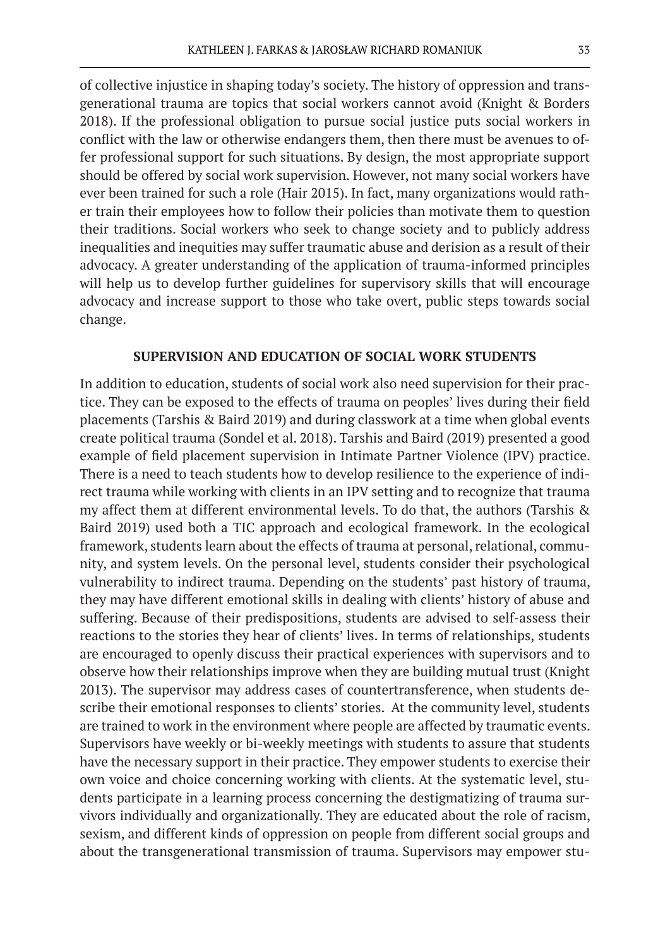of collective injustice in shaping today's society. The history of oppression and transgenerational trauma are topics that social workers cannot avoid (Knight & Borders 2018). If the professional obligation to pursue social justice puts social workers in conflict with the law or otherwise endangers them, then there must be avenues to offer professional support for such situations. By design, the most appropriate support should be offered by social work supervision. However, not many social workers have ever been trained for such a role (Hair 2015). In fact, many organizations would rather train their employees how to follow their policies than motivate them to question their traditions. Social workers who seek to change society and to publicly address inequalities and inequities may suffer traumatic abuse and derision as a result of their advocacy. A greater understanding of the application of trauma-informed principles will help us to develop further guidelines for supervisory skills that will encourage advocacy and increase support to those who take overt, public steps towards social change.

# **SUPERVISION AND EDUCATION OF SOCIAL WORK STUDENTS**

In addition to education, students of social work also need supervision for their practice. They can be exposed to the effects of trauma on peoples' lives during their field placements (Tarshis & Baird 2019) and during classwork at a time when global events create political trauma (Sondel et al. 2018). Tarshis and Baird (2019) presented a good example of field placement supervision in Intimate Partner Violence (IPV) practice. There is a need to teach students how to develop resilience to the experience of indirect trauma while working with clients in an IPV setting and to recognize that trauma my affect them at different environmental levels. To do that, the authors (Tarshis & Baird 2019) used both a TIC approach and ecological framework. In the ecological framework, students learn about the effects of trauma at personal, relational, community, and system levels. On the personal level, students consider their psychological vulnerability to indirect trauma. Depending on the students' past history of trauma, they may have different emotional skills in dealing with clients' history of abuse and suffering. Because of their predispositions, students are advised to self-assess their reactions to the stories they hear of clients' lives. In terms of relationships, students are encouraged to openly discuss their practical experiences with supervisors and to observe how their relationships improve when they are building mutual trust (Knight 2013). The supervisor may address cases of countertransference, when students describe their emotional responses to clients' stories. At the community level, students are trained to work in the environment where people are affected by traumatic events. Supervisors have weekly or bi-weekly meetings with students to assure that students have the necessary support in their practice. They empower students to exercise their own voice and choice concerning working with clients. At the systematic level, students participate in a learning process concerning the destigmatizing of trauma survivors individually and organizationally. They are educated about the role of racism, sexism, and different kinds of oppression on people from different social groups and about the transgenerational transmission of trauma. Supervisors may empower stu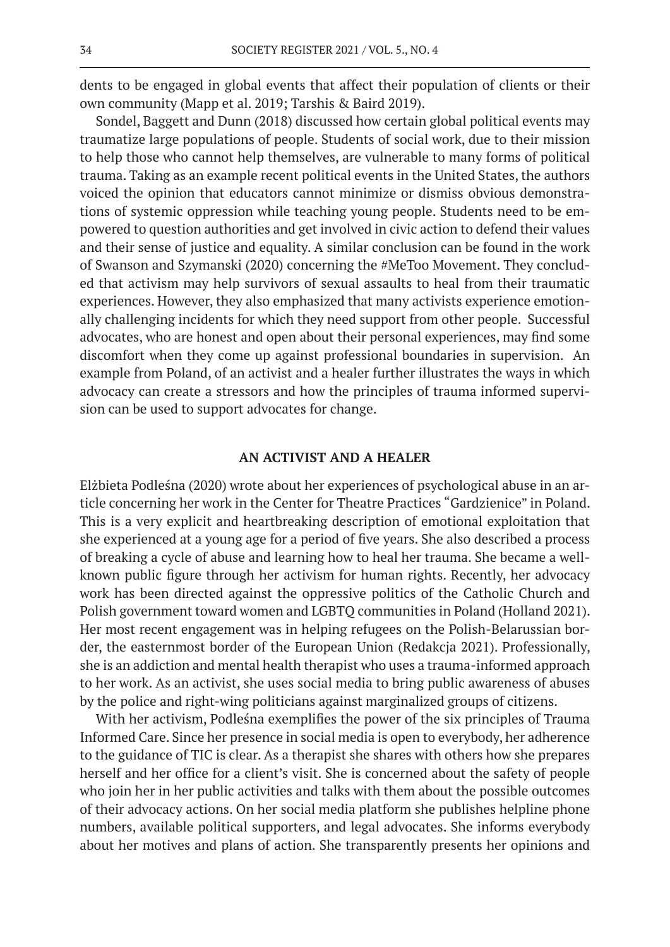dents to be engaged in global events that affect their population of clients or their own community (Mapp et al. 2019; Tarshis & Baird 2019).

Sondel, Baggett and Dunn (2018) discussed how certain global political events may traumatize large populations of people. Students of social work, due to their mission to help those who cannot help themselves, are vulnerable to many forms of political trauma. Taking as an example recent political events in the United States, the authors voiced the opinion that educators cannot minimize or dismiss obvious demonstrations of systemic oppression while teaching young people. Students need to be empowered to question authorities and get involved in civic action to defend their values and their sense of justice and equality. A similar conclusion can be found in the work of Swanson and Szymanski (2020) concerning the #MeToo Movement. They concluded that activism may help survivors of sexual assaults to heal from their traumatic experiences. However, they also emphasized that many activists experience emotionally challenging incidents for which they need support from other people. Successful advocates, who are honest and open about their personal experiences, may find some discomfort when they come up against professional boundaries in supervision. An example from Poland, of an activist and a healer further illustrates the ways in which advocacy can create a stressors and how the principles of trauma informed supervision can be used to support advocates for change.

### **AN ACTIVIST AND A HEALER**

Elżbieta Podleśna (2020) wrote about her experiences of psychological abuse in an article concerning her work in the Center for Theatre Practices "Gardzienice" in Poland. This is a very explicit and heartbreaking description of emotional exploitation that she experienced at a young age for a period of five years. She also described a process of breaking a cycle of abuse and learning how to heal her trauma. She became a wellknown public figure through her activism for human rights. Recently, her advocacy work has been directed against the oppressive politics of the Catholic Church and Polish government toward women and LGBTQ communities in Poland (Holland 2021). Her most recent engagement was in helping refugees on the Polish-Belarussian border, the easternmost border of the European Union (Redakcja 2021). Professionally, she is an addiction and mental health therapist who uses a trauma-informed approach to her work. As an activist, she uses social media to bring public awareness of abuses by the police and right-wing politicians against marginalized groups of citizens.

With her activism, Podleśna exemplifies the power of the six principles of Trauma Informed Care. Since her presence in social media is open to everybody, her adherence to the guidance of TIC is clear. As a therapist she shares with others how she prepares herself and her office for a client's visit. She is concerned about the safety of people who join her in her public activities and talks with them about the possible outcomes of their advocacy actions. On her social media platform she publishes helpline phone numbers, available political supporters, and legal advocates. She informs everybody about her motives and plans of action. She transparently presents her opinions and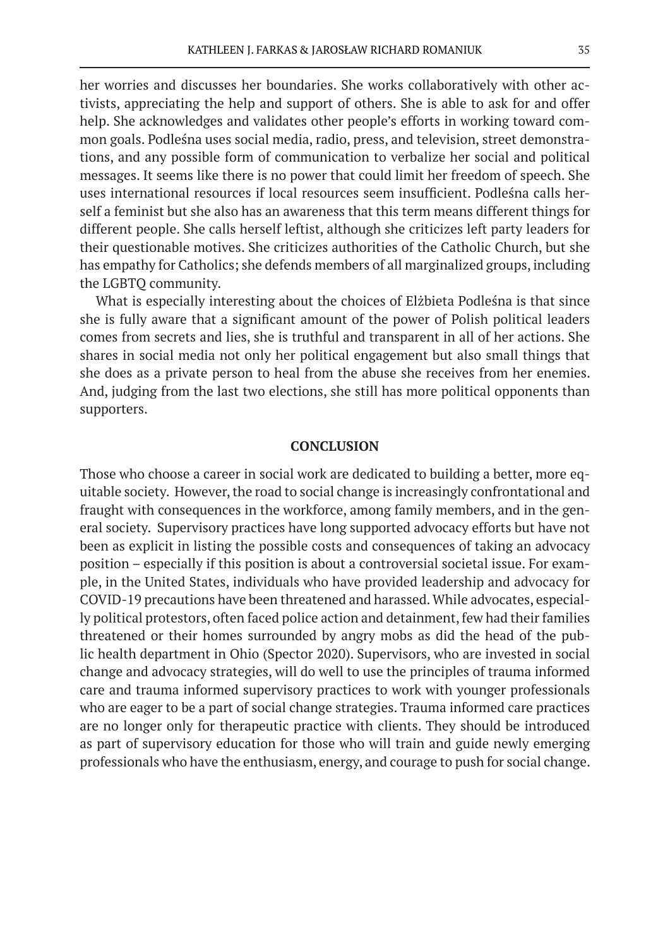her worries and discusses her boundaries. She works collaboratively with other activists, appreciating the help and support of others. She is able to ask for and offer help. She acknowledges and validates other people's efforts in working toward common goals. Podleśna uses social media, radio, press, and television, street demonstrations, and any possible form of communication to verbalize her social and political messages. It seems like there is no power that could limit her freedom of speech. She uses international resources if local resources seem insufficient. Podleśna calls herself a feminist but she also has an awareness that this term means different things for different people. She calls herself leftist, although she criticizes left party leaders for their questionable motives. She criticizes authorities of the Catholic Church, but she has empathy for Catholics; she defends members of all marginalized groups, including the LGBTQ community.

What is especially interesting about the choices of Elżbieta Podleśna is that since she is fully aware that a significant amount of the power of Polish political leaders comes from secrets and lies, she is truthful and transparent in all of her actions. She shares in social media not only her political engagement but also small things that she does as a private person to heal from the abuse she receives from her enemies. And, judging from the last two elections, she still has more political opponents than supporters.

### **CONCLUSION**

Those who choose a career in social work are dedicated to building a better, more equitable society. However, the road to social change is increasingly confrontational and fraught with consequences in the workforce, among family members, and in the general society. Supervisory practices have long supported advocacy efforts but have not been as explicit in listing the possible costs and consequences of taking an advocacy position – especially if this position is about a controversial societal issue. For example, in the United States, individuals who have provided leadership and advocacy for COVID-19 precautions have been threatened and harassed. While advocates, especially political protestors, often faced police action and detainment, few had their families threatened or their homes surrounded by angry mobs as did the head of the public health department in Ohio (Spector 2020). Supervisors, who are invested in social change and advocacy strategies, will do well to use the principles of trauma informed care and trauma informed supervisory practices to work with younger professionals who are eager to be a part of social change strategies. Trauma informed care practices are no longer only for therapeutic practice with clients. They should be introduced as part of supervisory education for those who will train and guide newly emerging professionals who have the enthusiasm, energy, and courage to push for social change.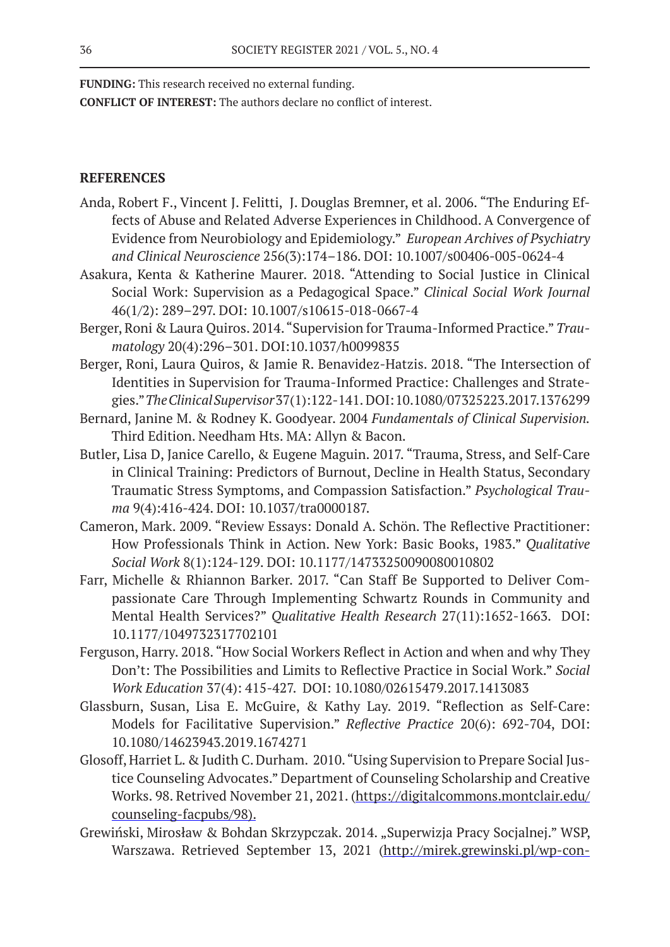**FUNDING:** This research received no external funding.

**CONFLICT OF INTEREST:** The authors declare no conflict of interest.

# **REFERENCES**

- Anda, Robert F., Vincent J. Felitti, J. Douglas Bremner, et al. 2006. "The Enduring Effects of Abuse and Related Adverse Experiences in Childhood. A Convergence of Evidence from Neurobiology and Epidemiology." *European Archives of Psychiatry and Clinical Neuroscience* 256(3):174–186. DOI: 10.1007/s00406-005-0624-4
- Asakura, Kenta & Katherine Maurer. 2018. "Attending to Social Justice in Clinical Social Work: Supervision as a Pedagogical Space." *Clinical Social Work Journal* 46(1/2): 289–297. DOI: 10.1007/s10615-018-0667-4
- Berger, Roni & Laura Quiros. 2014. "Supervision for Trauma-Informed Practice." *Traumatology* 20(4):296–301. DOI:10.1037/h0099835
- Berger, Roni, Laura Quiros, & Jamie R. Benavidez-Hatzis. 2018. "The Intersection of Identities in Supervision for Trauma-Informed Practice: Challenges and Strategies." *The Clinical Supervisor* 37(1):122-141. DOI: 10.1080/07325223.2017.1376299
- Bernard, Janine M. & Rodney K. Goodyear. 2004 *Fundamentals of Clinical Supervision.* Third Edition. Needham Hts. MA: Allyn & Bacon.
- Butler, Lisa D, Janice Carello, & Eugene Maguin. 2017. "Trauma, Stress, and Self-Care in Clinical Training: Predictors of Burnout, Decline in Health Status, Secondary Traumatic Stress Symptoms, and Compassion Satisfaction." *Psychological Trauma* 9(4):416-424. DOI: 10.1037/tra0000187.
- Cameron, Mark. 2009. "Review Essays: Donald A. Schön. The Reflective Practitioner: How Professionals Think in Action. New York: Basic Books, 1983." *Qualitative Social Work* 8(1):124-129. DOI: 10.1177/14733250090080010802
- Farr, Michelle & Rhiannon Barker. 2017. "Can Staff Be Supported to Deliver Compassionate Care Through Implementing Schwartz Rounds in Community and Mental Health Services?" *Qualitative Health Research* 27(11):1652-1663. DOI: 10.1177/1049732317702101
- Ferguson, Harry. 2018. "How Social Workers Reflect in Action and when and why They Don't: The Possibilities and Limits to Reflective Practice in Social Work." *Social Work Education* 37(4): 415-427. DOI: 10.1080/02615479.2017.1413083
- Glassburn, Susan, Lisa E. McGuire, & Kathy Lay. 2019. "Reflection as Self-Care: Models for Facilitative Supervision." *Reflective Practice* 20(6): 692-704, DOI: 10.1080/14623943.2019.1674271
- Glosoff, Harriet L. & Judith C. Durham. 2010. "Using Supervision to Prepare Social Justice Counseling Advocates." Department of Counseling Scholarship and Creative Works. 98. Retrived November 21, 2021. (https://digitalcommons.montclair.edu/ counseling-facpubs/98).
- Grewiński, Mirosław & Bohdan Skrzypczak. 2014. "Superwizja Pracy Socjalnej." WSP, Warszawa. Retrieved September 13, 2021 (http://mirek.grewinski.pl/wp-con-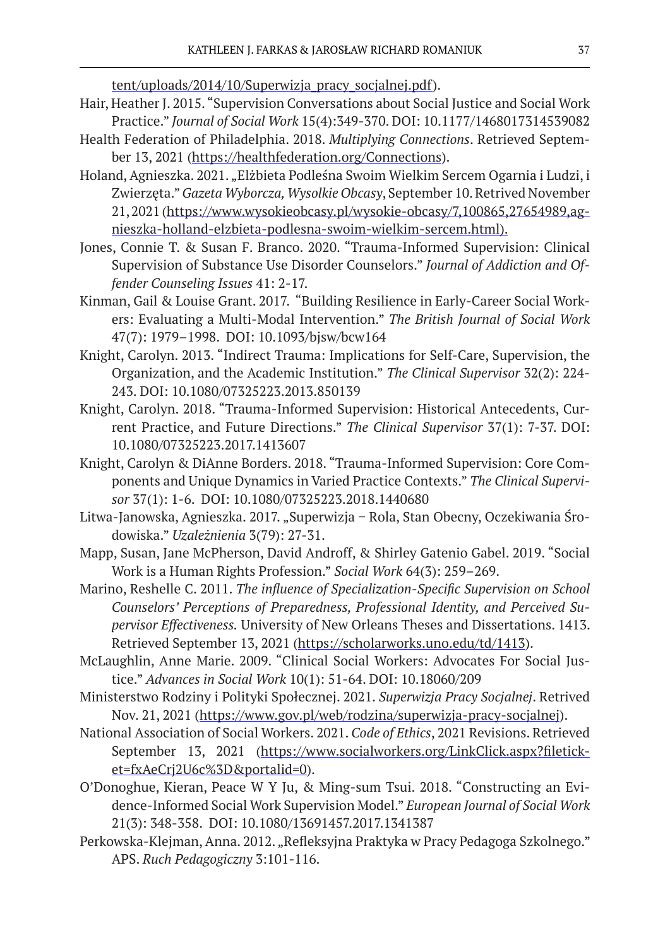tent/uploads/2014/10/Superwizja pracy socjalnej.pdf).

- Hair, Heather J. 2015. "Supervision Conversations about Social Justice and Social Work
- Practice." *Journal of Social Work* 15(4):349-370. DOI: 10.1177/1468017314539082 Health Federation of Philadelphia. 2018. *Multiplying Connections*. Retrieved September 13, 2021 (https://healthfederation.org/Connections).
- Holand, Agnieszka. 2021. "Elżbieta Podleśna Swoim Wielkim Sercem Ogarnia i Ludzi, i Zwierzęta." *Gazeta Wyborcza, Wysolkie Obcasy*, September 10. Retrived November 21, 2021 (https://www.wysokieobcasy.pl/wysokie-obcasy/7,100865,27654989,agnieszka-holland-elzbieta-podlesna-swoim-wielkim-sercem.html).
- Jones, Connie T. & Susan F. Branco. 2020. "Trauma-Informed Supervision: Clinical Supervision of Substance Use Disorder Counselors." *Journal of Addiction and Offender Counseling Issues* 41: 2-17.
- Kinman, Gail & Louise Grant. 2017. "Building Resilience in Early-Career Social Workers: Evaluating a Multi-Modal Intervention." *The British Journal of Social Work* 47(7): 1979–1998. DOI: 10.1093/bjsw/bcw164
- Knight, Carolyn. 2013. "Indirect Trauma: Implications for Self-Care, Supervision, the Organization, and the Academic Institution." *The Clinical Supervisor* 32(2): 224- 243. DOI: 10.1080/07325223.2013.850139
- Knight, Carolyn. 2018. "Trauma-Informed Supervision: Historical Antecedents, Current Practice, and Future Directions." *The Clinical Supervisor* 37(1): 7-37. DOI: 10.1080/07325223.2017.1413607
- Knight, Carolyn & DiAnne Borders. 2018. "Trauma-Informed Supervision: Core Components and Unique Dynamics in Varied Practice Contexts." *The Clinical Supervisor* 37(1): 1-6. DOI: 10.1080/07325223.2018.1440680
- Litwa-Janowska, Agnieszka. 2017. "Superwizja − Rola, Stan Obecny, Oczekiwania Środowiska." *Uzależnienia* 3(79): 27-31.
- Mapp, Susan, Jane McPherson, David Androff, & Shirley Gatenio Gabel. 2019. "Social Work is a Human Rights Profession." *Social Work* 64(3): 259–269.
- Marino, Reshelle C. 2011. *The influence of Specialization-Specific Supervision on School Counselors' Perceptions of Preparedness, Professional Identity, and Perceived Supervisor Effectiveness.* University of New Orleans Theses and Dissertations. 1413. Retrieved September 13, 2021 (https://scholarworks.uno.edu/td/1413).
- McLaughlin, Anne Marie. 2009. "Clinical Social Workers: Advocates For Social Justice." *Advances in Social Work* 10(1): 51-64. DOI: 10.18060/209
- Ministerstwo Rodziny i Polityki Społecznej. 2021. *Superwizja Pracy Socjalnej*. Retrived Nov. 21, 2021 (https://www.gov.pl/web/rodzina/superwizja-pracy-socjalnej).
- National Association of Social Workers. 2021. *Code of Ethics*, 2021 Revisions. Retrieved September 13, 2021 (https://www.socialworkers.org/LinkClick.aspx?fileticket=fxAeCrj2U6c%3D&portalid=0).
- O'Donoghue, Kieran, Peace W Y Ju, & Ming-sum Tsui. 2018. "Constructing an Evidence-Informed Social Work Supervision Model." *European Journal of Social Work* 21(3): 348-358. DOI: 10.1080/13691457.2017.1341387
- Perkowska-Klejman, Anna. 2012. "Refleksyjna Praktyka w Pracy Pedagoga Szkolnego." APS. *Ruch Pedagogiczny* 3:101-116.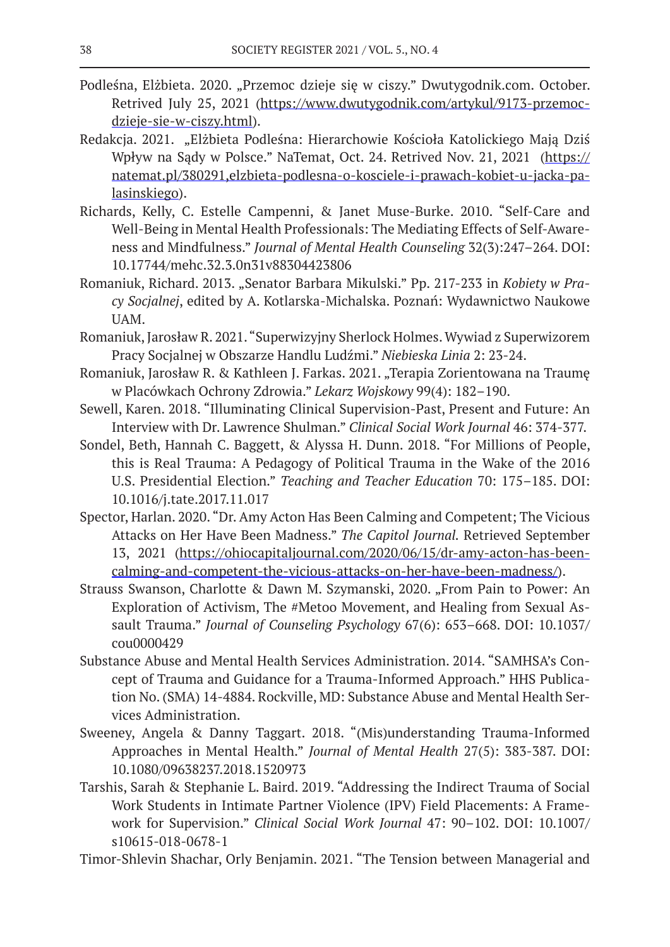- Podleśna, Elżbieta. 2020. "Przemoc dzieje się w ciszy." Dwutygodnik.com. October. Retrived July 25, 2021 (https://www.dwutygodnik.com/artykul/9173-przemocdzieje-sie-w-ciszy.html).
- Redakcja. 2021. "Elżbieta Podleśna: Hierarchowie Kościoła Katolickiego Mają Dziś Wpływ na Sądy w Polsce." NaTemat, Oct. 24. Retrived Nov. 21, 2021 (https:// natemat.pl/380291,elzbieta-podlesna-o-kosciele-i-prawach-kobiet-u-jacka-palasinskiego).
- Richards, Kelly, C. Estelle Campenni, & Janet Muse-Burke. 2010. "Self-Care and Well-Being in Mental Health Professionals: The Mediating Effects of Self-Awareness and Mindfulness." *Journal of Mental Health Counseling* 32(3):247–264. DOI: 10.17744/mehc.32.3.0n31v88304423806
- Romaniuk, Richard. 2013. "Senator Barbara Mikulski." Pp. 217-233 in *Kobiety w Pracy Socjalnej*, edited by A. Kotlarska-Michalska. Poznań: Wydawnictwo Naukowe UAM.
- Romaniuk, Jarosław R. 2021. "Superwizyjny Sherlock Holmes. Wywiad z Superwizorem Pracy Socjalnej w Obszarze Handlu Ludźmi." *Niebieska Linia* 2: 23-24.
- Romaniuk, Jarosław R. & Kathleen J. Farkas. 2021. "Terapia Zorientowana na Traumę w Placówkach Ochrony Zdrowia." *Lekarz Wojskowy* 99(4): 182–190.
- Sewell, Karen. 2018. "Illuminating Clinical Supervision-Past, Present and Future: An Interview with Dr. Lawrence Shulman." *Clinical Social Work Journal* 46: 374-377.
- Sondel, Beth, Hannah C. Baggett, & Alyssa H. Dunn. 2018. "For Millions of People, this is Real Trauma: A Pedagogy of Political Trauma in the Wake of the 2016 U.S. Presidential Election." *Teaching and Teacher Education* 70: 175–185. DOI: 10.1016/j.tate.2017.11.017
- Spector, Harlan. 2020. "Dr. Amy Acton Has Been Calming and Competent; The Vicious Attacks on Her Have Been Madness." *The Capitol Journal.* Retrieved September 13, 2021 (https://ohiocapitaljournal.com/2020/06/15/dr-amy-acton-has-beencalming-and-competent-the-vicious-attacks-on-her-have-been-madness/).
- Strauss Swanson, Charlotte & Dawn M. Szymanski, 2020. "From Pain to Power: An Exploration of Activism, The #Metoo Movement, and Healing from Sexual Assault Trauma." *Journal of Counseling Psychology* 67(6): 653–668. DOI: 10.1037/ cou0000429
- Substance Abuse and Mental Health Services Administration. 2014. "SAMHSA's Concept of Trauma and Guidance for a Trauma-Informed Approach." HHS Publication No. (SMA) 14-4884. Rockville, MD: Substance Abuse and Mental Health Services Administration.
- Sweeney, Angela & Danny Taggart. 2018. "(Mis)understanding Trauma-Informed Approaches in Mental Health." *Journal of Mental Health* 27(5): 383-387. DOI: 10.1080/09638237.2018.1520973
- Tarshis, Sarah & Stephanie L. Baird. 2019. "Addressing the Indirect Trauma of Social Work Students in Intimate Partner Violence (IPV) Field Placements: A Framework for Supervision." *Clinical Social Work Journal* 47: 90–102. DOI: 10.1007/ s10615-018-0678-1
- Timor-Shlevin Shachar, Orly Benjamin. 2021. "The Tension between Managerial and